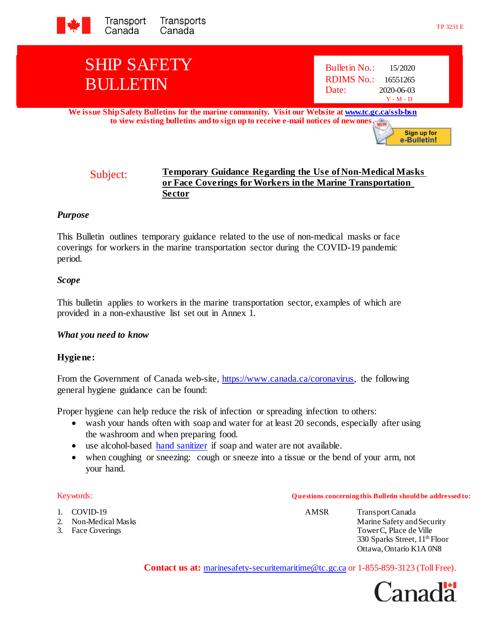

# SHIP SAFETY BULLETIN

| <b>Bulletin No.:</b> | 15/2020     |
|----------------------|-------------|
| RDIMS No.:           | 16551265    |
| Date:                | 2020-06-03  |
|                      | $Y - M - D$ |

**We issue Ship Safety Bulletins for the marine community. Visit our Website [at www.tc.gc.ca/ssb-bsn](http://www.tc.gc.ca/ssb-bsn) to view existing bulletins and to sign up to receive e-mail notices of new ones.**



### *Purpose*

This Bulletin outlines temporary guidance related to the use of non-medical masks or face coverings for workers in the marine transportation sector during the COVID-19 pandemic period.

### *Scope*

This bulletin applies to workers in the marine transportation sector, examples of which are provided in a non-exhaustive list set out in Annex 1.

### *What you need to know*

### **Hygiene:**

From the Government of Canada web-site, [https://www.canada.ca/coronavirus,](https://www.canada.ca/coronavirus) the following general hygiene guidance can be found:

Proper hygiene can help reduce the risk of infection or spreading infection to others:

- wash your hands often with soap and water for at least 20 seconds, especially after using the washroom and when preparing food.
- use alcohol-based [hand sanitizer](https://www.canada.ca/en/health-canada/services/drugs-health-products/disinfectants/covid-19/hand-sanitizer.html) if soap and water are not available.
- when coughing or sneezing: cough or sneeze into a tissue or the bend of your arm, not your hand.

1. COVID-19 AMSR Transport Canada 2. Non-Medical Masks Marine Safety and Security 3. Face Coverings Tower C, Place de Ville 330 Sparks Street, 11<sup>th</sup> Floor Ottawa, Ontario K1A 0N8

**Contact us at:** [marinesafety-securitemaritime@tc.gc.ca](mailto:marinesafety-securitymaritime@tc.gc.ca) or 1-855-859-3123 (Toll Free).



Sign up for e-Bulletin!

## Keywords: **Q uestions concerning this Bulletin should be addressed to:**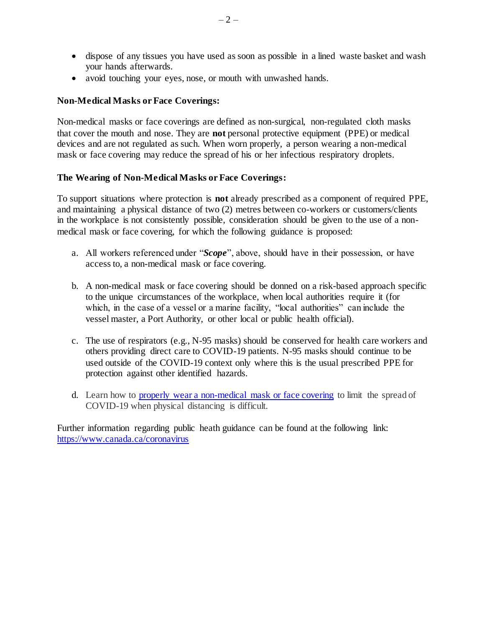- dispose of any tissues you have used as soon as possible in a lined waste basket and wash your hands afterwards.
- avoid touching your eyes, nose, or mouth with unwashed hands.

### **Non-Medical Masks or Face Coverings:**

Non-medical masks or face coverings are defined as non-surgical, non-regulated cloth masks that cover the mouth and nose. They are **not** personal protective equipment (PPE) or medical devices and are not regulated as such. When worn properly, a person wearing a non-medical mask or face covering may reduce the spread of his or her infectious respiratory droplets.

### **The Wearing of Non-Medical Masks or Face Coverings:**

To support situations where protection is **not** already prescribed as a component of required PPE, and maintaining a physical distance of two (2) metres between co-workers or customers/clients in the workplace is not consistently possible, consideration should be given to the use of a nonmedical mask or face covering, for which the following guidance is proposed:

- a. All workers referenced under "*Scope*", above, should have in their possession, or have access to, a non-medical mask or face covering.
- b. A non-medical mask or face covering should be donned on a risk-based approach specific to the unique circumstances of the workplace, when local authorities require it (for which, in the case of a vessel or a marine facility, "local authorities" can include the vessel master, a Port Authority, or other local or public health official).
- c. The use of respirators (e.g., N-95 masks) should be conserved for health care workers and others providing direct care to COVID-19 patients. N-95 masks should continue to be used outside of the COVID-19 context only where this is the usual prescribed PPE for protection against other identified hazards.
- d. Learn how to [properly wear a non-medical mask or face covering](https://www.canada.ca/en/public-health/services/video/covid-19-wear-non-medical-mask-face-covering-properly.html) to limit the spread of COVID-19 when physical distancing is difficult.

Further information regarding public heath guidance can be found at the following link: <https://www.canada.ca/coronavirus>